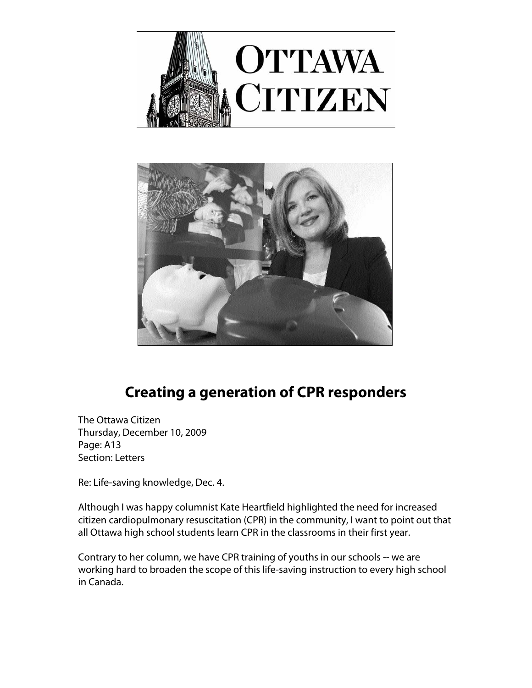



## **Creating a generation of CPR responders**

The Ottawa Citizen Thursday, December 10, 2009 Page: A13 Section: Letters

Re: Life-saving knowledge, Dec. 4.

Although I was happy columnist Kate Heartfield highlighted the need for increased citizen cardiopulmonary resuscitation (CPR) in the community, I want to point out that all Ottawa high school students learn CPR in the classrooms in their first year.

Contrary to her column, we have CPR training of youths in our schools -- we are working hard to broaden the scope of this life-saving instruction to every high school in Canada.